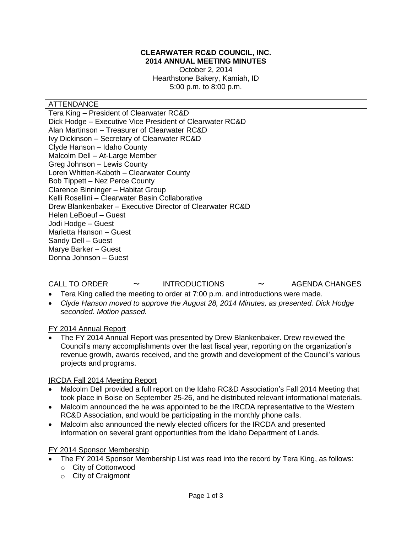# **CLEARWATER RC&D COUNCIL, INC. 2014 ANNUAL MEETING MINUTES**

October 2, 2014 Hearthstone Bakery, Kamiah, ID 5:00 p.m. to 8:00 p.m.

## ATTENDANCE

Tera King – President of Clearwater RC&D Dick Hodge – Executive Vice President of Clearwater RC&D Alan Martinson – Treasurer of Clearwater RC&D Ivy Dickinson – Secretary of Clearwater RC&D Clyde Hanson – Idaho County Malcolm Dell – At-Large Member Greg Johnson – Lewis County Loren Whitten-Kaboth – Clearwater County Bob Tippett – Nez Perce County Clarence Binninger – Habitat Group Kelli Rosellini – Clearwater Basin Collaborative Drew Blankenbaker – Executive Director of Clearwater RC&D Helen LeBoeuf – Guest Jodi Hodge – Guest Marietta Hanson – Guest Sandy Dell – Guest Marye Barker – Guest Donna Johnson – Guest

| <b>CALL TO ORDER</b> |  | <b>INTRODUCTIONS</b> |  | <b>AGENDA CHANGES</b> |
|----------------------|--|----------------------|--|-----------------------|
|----------------------|--|----------------------|--|-----------------------|

- Tera King called the meeting to order at 7:00 p.m. and introductions were made.
- *Clyde Hanson moved to approve the August 28, 2014 Minutes, as presented. Dick Hodge seconded. Motion passed.*

## FY 2014 Annual Report

 The FY 2014 Annual Report was presented by Drew Blankenbaker. Drew reviewed the Council's many accomplishments over the last fiscal year, reporting on the organization's revenue growth, awards received, and the growth and development of the Council's various projects and programs.

## IRCDA Fall 2014 Meeting Report

- Malcolm Dell provided a full report on the Idaho RC&D Association's Fall 2014 Meeting that took place in Boise on September 25-26, and he distributed relevant informational materials.
- Malcolm announced the he was appointed to be the IRCDA representative to the Western RC&D Association, and would be participating in the monthly phone calls.
- Malcolm also announced the newly elected officers for the IRCDA and presented information on several grant opportunities from the Idaho Department of Lands.

## FY 2014 Sponsor Membership

- The FY 2014 Sponsor Membership List was read into the record by Tera King, as follows:
	- o City of Cottonwood
	- o City of Craigmont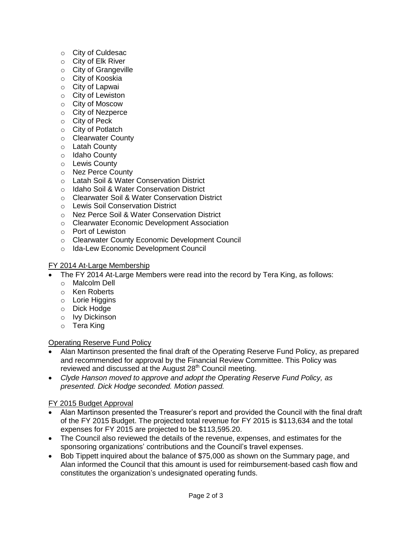- o City of Culdesac
- o City of Elk River
- o City of Grangeville
- o City of Kooskia
- o City of Lapwai
- o City of Lewiston
- o City of Moscow
- o City of Nezperce
- o City of Peck
- o City of Potlatch
- o Clearwater County
- o Latah County
- o Idaho County
- o Lewis County
- o Nez Perce County
- o Latah Soil & Water Conservation District
- o Idaho Soil & Water Conservation District
- o Clearwater Soil & Water Conservation District
- o Lewis Soil Conservation District
- o Nez Perce Soil & Water Conservation District
- o Clearwater Economic Development Association
- o Port of Lewiston
- o Clearwater County Economic Development Council
- o Ida-Lew Economic Development Council

## FY 2014 At-Large Membership

- The FY 2014 At-Large Members were read into the record by Tera King, as follows:
	- o Malcolm Dell
	- o Ken Roberts
	- o Lorie Higgins
	- o Dick Hodge
	- o Ivy Dickinson
	- o Tera King

## Operating Reserve Fund Policy

- Alan Martinson presented the final draft of the Operating Reserve Fund Policy, as prepared and recommended for approval by the Financial Review Committee. This Policy was reviewed and discussed at the August 28<sup>th</sup> Council meeting.
- *Clyde Hanson moved to approve and adopt the Operating Reserve Fund Policy, as presented. Dick Hodge seconded. Motion passed.*

## FY 2015 Budget Approval

- Alan Martinson presented the Treasurer's report and provided the Council with the final draft of the FY 2015 Budget. The projected total revenue for FY 2015 is \$113,634 and the total expenses for FY 2015 are projected to be \$113,595.20.
- The Council also reviewed the details of the revenue, expenses, and estimates for the sponsoring organizations' contributions and the Council's travel expenses.
- Bob Tippett inquired about the balance of \$75,000 as shown on the Summary page, and Alan informed the Council that this amount is used for reimbursement-based cash flow and constitutes the organization's undesignated operating funds.